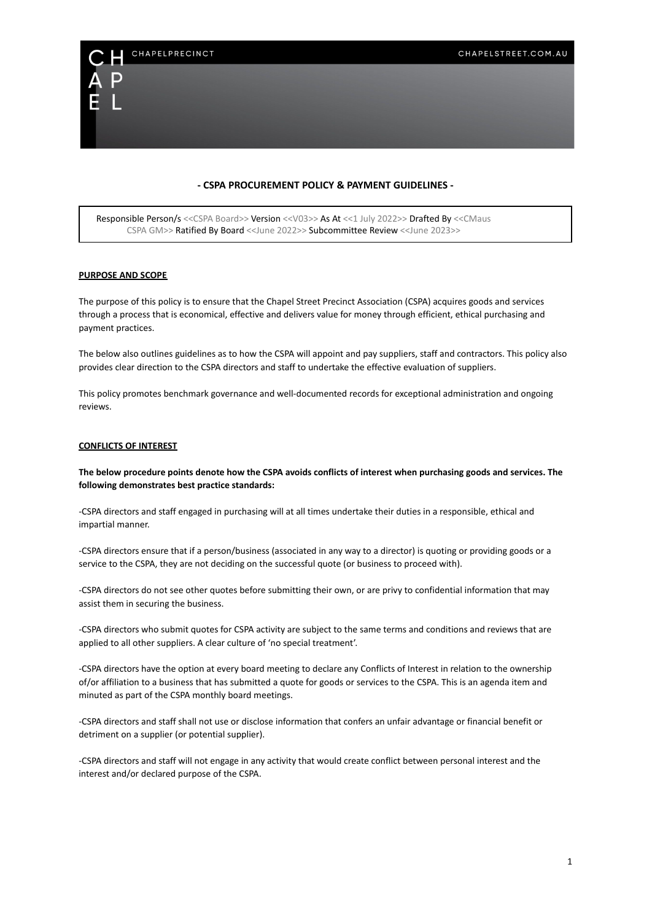# **- CSPA PROCUREMENT POLICY & PAYMENT GUIDELINES -**

Responsible Person/s <<CSPA Board>> Version <<V03>> As At <<1 July 2022>> Drafted By <<CMaus CSPA GM>> Ratified By Board <<June 2022>> Subcommittee Review <<June 2023>>

#### **PURPOSE AND SCOPE**

CHAPELPRECINCT

The purpose of this policy is to ensure that the Chapel Street Precinct Association (CSPA) acquires goods and services through a process that is economical, effective and delivers value for money through efficient, ethical purchasing and payment practices.

The below also outlines guidelines as to how the CSPA will appoint and pay suppliers, staff and contractors. This policy also provides clear direction to the CSPA directors and staff to undertake the effective evaluation of suppliers.

This policy promotes benchmark governance and well-documented records for exceptional administration and ongoing reviews.

#### **CONFLICTS OF INTEREST**

**The below procedure points denote how the CSPA avoids conflicts of interest when purchasing goods and services. The following demonstrates best practice standards:**

-CSPA directors and staff engaged in purchasing will at all times undertake their duties in a responsible, ethical and impartial manner.

-CSPA directors ensure that if a person/business (associated in any way to a director) is quoting or providing goods or a service to the CSPA, they are not deciding on the successful quote (or business to proceed with).

-CSPA directors do not see other quotes before submitting their own, or are privy to confidential information that may assist them in securing the business.

-CSPA directors who submit quotes for CSPA activity are subject to the same terms and conditions and reviews that are applied to all other suppliers. A clear culture of 'no special treatment'.

-CSPA directors have the option at every board meeting to declare any Conflicts of Interest in relation to the ownership of/or affiliation to a business that has submitted a quote for goods or services to the CSPA. This is an agenda item and minuted as part of the CSPA monthly board meetings.

-CSPA directors and staff shall not use or disclose information that confers an unfair advantage or financial benefit or detriment on a supplier (or potential supplier).

-CSPA directors and staff will not engage in any activity that would create conflict between personal interest and the interest and/or declared purpose of the CSPA.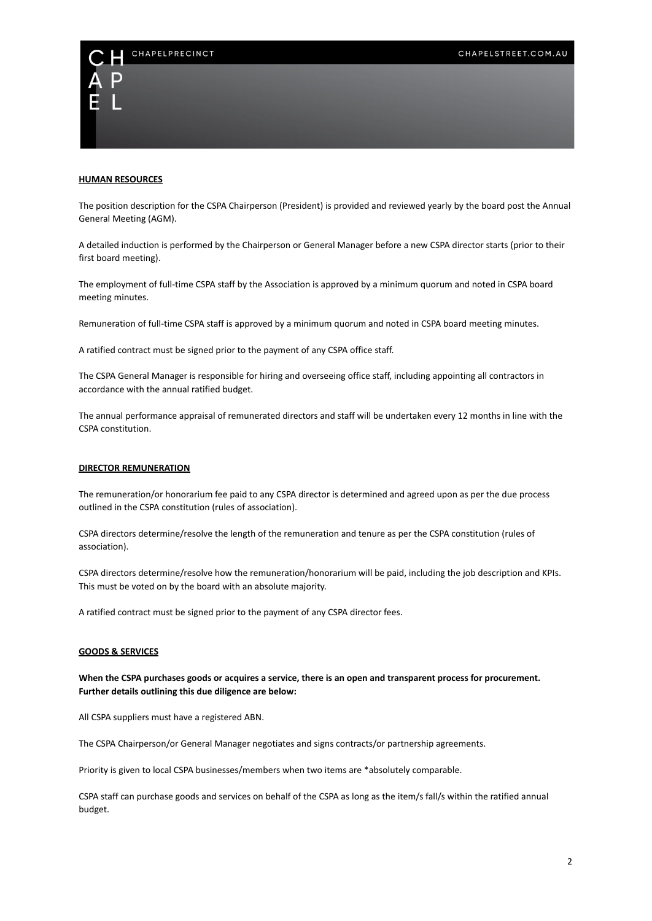# CHAPELPRECINCT



## **HUMAN RESOURCES**

The position description for the CSPA Chairperson (President) is provided and reviewed yearly by the board post the Annual General Meeting (AGM).

A detailed induction is performed by the Chairperson or General Manager before a new CSPA director starts (prior to their first board meeting).

The employment of full-time CSPA staff by the Association is approved by a minimum quorum and noted in CSPA board meeting minutes.

Remuneration of full-time CSPA staff is approved by a minimum quorum and noted in CSPA board meeting minutes.

A ratified contract must be signed prior to the payment of any CSPA office staff.

The CSPA General Manager is responsible for hiring and overseeing office staff, including appointing all contractors in accordance with the annual ratified budget.

The annual performance appraisal of remunerated directors and staff will be undertaken every 12 months in line with the CSPA constitution.

#### **DIRECTOR REMUNERATION**

The remuneration/or honorarium fee paid to any CSPA director is determined and agreed upon as per the due process outlined in the CSPA constitution (rules of association).

CSPA directors determine/resolve the length of the remuneration and tenure as per the CSPA constitution (rules of association).

CSPA directors determine/resolve how the remuneration/honorarium will be paid, including the job description and KPIs. This must be voted on by the board with an absolute majority.

A ratified contract must be signed prior to the payment of any CSPA director fees.

# **GOODS & SERVICES**

**When the CSPA purchases goods or acquires a service, there is an open and transparent process for procurement. Further details outlining this due diligence are below:**

All CSPA suppliers must have a registered ABN.

The CSPA Chairperson/or General Manager negotiates and signs contracts/or partnership agreements.

Priority is given to local CSPA businesses/members when two items are \*absolutely comparable.

CSPA staff can purchase goods and services on behalf of the CSPA as long as the item/s fall/s within the ratified annual budget.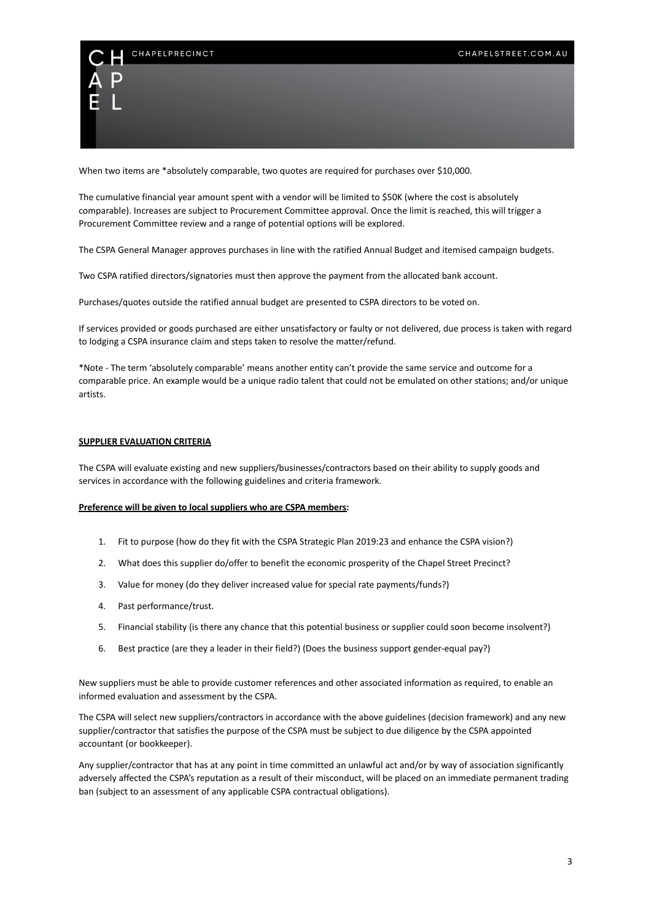

When two items are \*absolutely comparable, two quotes are required for purchases over \$10,000.

The cumulative financial year amount spent with a vendor will be limited to \$50K (where the cost is absolutely comparable). Increases are subject to Procurement Committee approval. Once the limit is reached, this will trigger a Procurement Committee review and a range of potential options will be explored.

The CSPA General Manager approves purchases in line with the ratified Annual Budget and itemised campaign budgets.

Two CSPA ratified directors/signatories must then approve the payment from the allocated bank account.

Purchases/quotes outside the ratified annual budget are presented to CSPA directors to be voted on.

If services provided or goods purchased are either unsatisfactory or faulty or not delivered, due process is taken with regard to lodging a CSPA insurance claim and steps taken to resolve the matter/refund.

\*Note - The term 'absolutely comparable' means another entity can't provide the same service and outcome for a comparable price. An example would be a unique radio talent that could not be emulated on other stations; and/or unique artists.

#### **SUPPLIER EVALUATION CRITERIA**

The CSPA will evaluate existing and new suppliers/businesses/contractors based on their ability to supply goods and services in accordance with the following guidelines and criteria framework.

#### **Preference will be given to local suppliers who are CSPA members:**

- 1. Fit to purpose (how do they fit with the CSPA Strategic Plan 2019:23 and enhance the CSPA vision?)
- 2. What does this supplier do/offer to benefit the economic prosperity of the Chapel Street Precinct?
- 3. Value for money (do they deliver increased value for special rate payments/funds?)
- 4. Past performance/trust.
- 5. Financial stability (is there any chance that this potential business or supplier could soon become insolvent?)
- 6. Best practice (are they a leader in their field?) (Does the business support gender-equal pay?)

New suppliers must be able to provide customer references and other associated information as required, to enable an informed evaluation and assessment by the CSPA.

The CSPA will select new suppliers/contractors in accordance with the above guidelines (decision framework) and any new supplier/contractor that satisfies the purpose of the CSPA must be subject to due diligence by the CSPA appointed accountant (or bookkeeper).

Any supplier/contractor that has at any point in time committed an unlawful act and/or by way of association significantly adversely affected the CSPA's reputation as a result of their misconduct, will be placed on an immediate permanent trading ban (subject to an assessment of any applicable CSPA contractual obligations).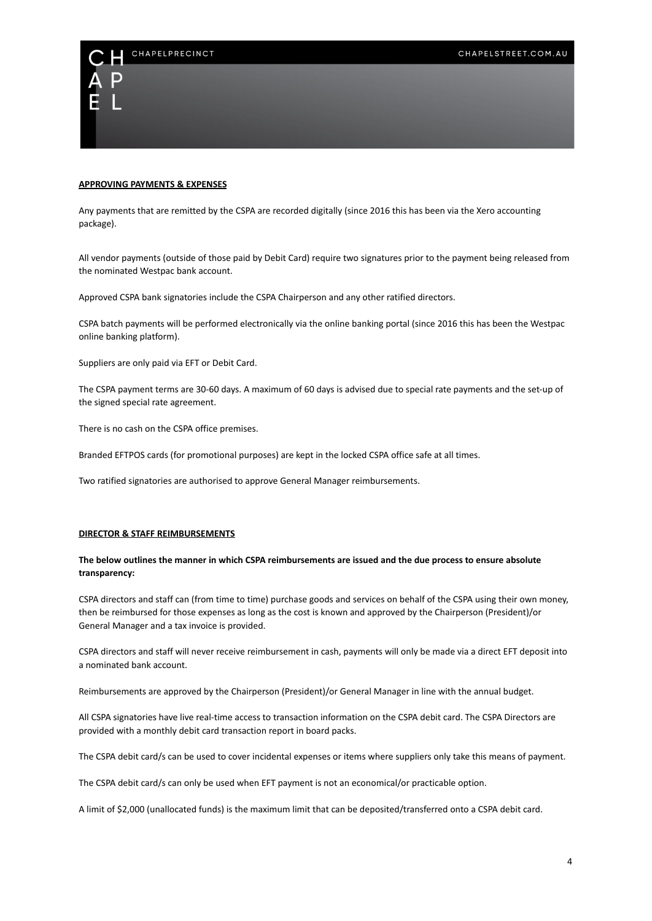

#### **APPROVING PAYMENTS & EXPENSES**

Any payments that are remitted by the CSPA are recorded digitally (since 2016 this has been via the Xero accounting package).

All vendor payments (outside of those paid by Debit Card) require two signatures prior to the payment being released from the nominated Westpac bank account.

Approved CSPA bank signatories include the CSPA Chairperson and any other ratified directors.

CSPA batch payments will be performed electronically via the online banking portal (since 2016 this has been the Westpac online banking platform).

Suppliers are only paid via EFT or Debit Card.

The CSPA payment terms are 30-60 days. A maximum of 60 days is advised due to special rate payments and the set-up of the signed special rate agreement.

There is no cash on the CSPA office premises.

Branded EFTPOS cards (for promotional purposes) are kept in the locked CSPA office safe at all times.

Two ratified signatories are authorised to approve General Manager reimbursements.

#### **DIRECTOR & STAFF REIMBURSEMENTS**

# **The below outlines the manner in which CSPA reimbursements are issued and the due process to ensure absolute transparency:**

CSPA directors and staff can (from time to time) purchase goods and services on behalf of the CSPA using their own money, then be reimbursed for those expenses as long as the cost is known and approved by the Chairperson (President)/or General Manager and a tax invoice is provided.

CSPA directors and staff will never receive reimbursement in cash, payments will only be made via a direct EFT deposit into a nominated bank account.

Reimbursements are approved by the Chairperson (President)/or General Manager in line with the annual budget.

All CSPA signatories have live real-time access to transaction information on the CSPA debit card. The CSPA Directors are provided with a monthly debit card transaction report in board packs.

The CSPA debit card/s can be used to cover incidental expenses or items where suppliers only take this means of payment.

The CSPA debit card/s can only be used when EFT payment is not an economical/or practicable option.

A limit of \$2,000 (unallocated funds) is the maximum limit that can be deposited/transferred onto a CSPA debit card.